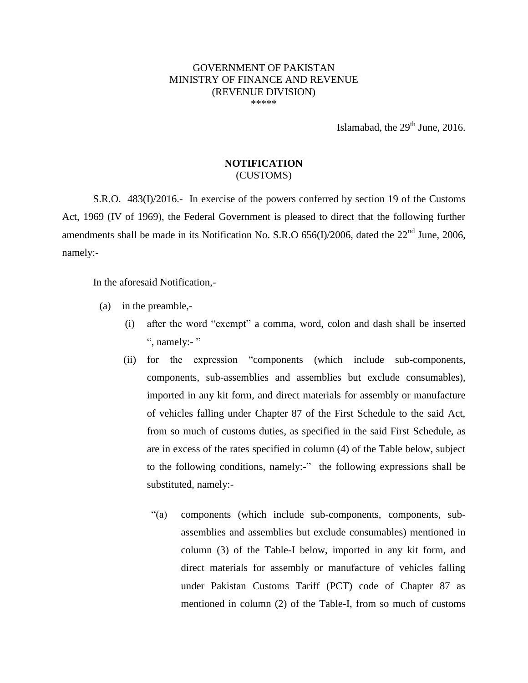## GOVERNMENT OF PAKISTAN MINISTRY OF FINANCE AND REVENUE (REVENUE DIVISION) \*\*\*\*\*

Islamabad, the  $29<sup>th</sup>$  June, 2016.

## **NOTIFICATION** (CUSTOMS)

S.R.O. 483(I)/2016.- In exercise of the powers conferred by section 19 of the Customs Act, 1969 (IV of 1969), the Federal Government is pleased to direct that the following further amendments shall be made in its Notification No. S.R.O  $656(I)/2006$ , dated the  $22<sup>nd</sup>$  June, 2006, namely:-

In the aforesaid Notification,-

- (a) in the preamble,-
	- (i) after the word "exempt" a comma, word, colon and dash shall be inserted ", namely:-"
	- (ii) for the expression "components (which include sub-components, components, sub-assemblies and assemblies but exclude consumables), imported in any kit form, and direct materials for assembly or manufacture of vehicles falling under Chapter 87 of the First Schedule to the said Act, from so much of customs duties, as specified in the said First Schedule, as are in excess of the rates specified in column (4) of the Table below, subject to the following conditions, namely:-" the following expressions shall be substituted, namely:-
		- "(a) components (which include sub-components, components, subassemblies and assemblies but exclude consumables) mentioned in column (3) of the Table-I below, imported in any kit form, and direct materials for assembly or manufacture of vehicles falling under Pakistan Customs Tariff (PCT) code of Chapter 87 as mentioned in column (2) of the Table-I, from so much of customs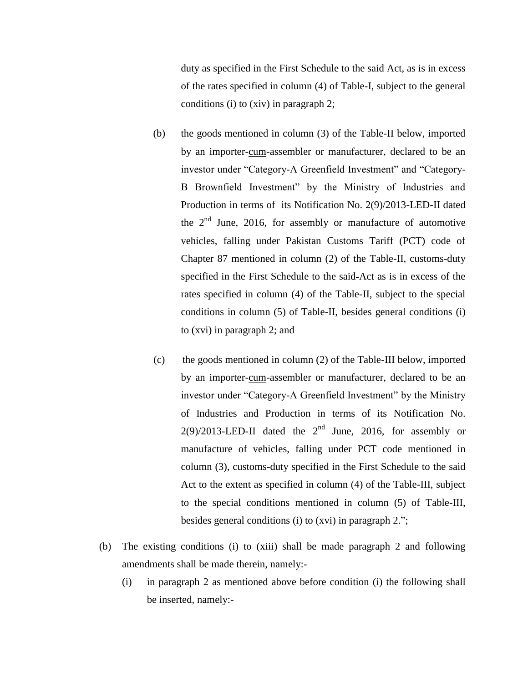duty as specified in the First Schedule to the said Act, as is in excess of the rates specified in column (4) of Table-I, subject to the general conditions (i) to (xiv) in paragraph 2;

- (b) the goods mentioned in column (3) of the Table-II below, imported by an importer-cum-assembler or manufacturer, declared to be an investor under "Category-A Greenfield Investment" and "Category-B Brownfield Investment" by the Ministry of Industries and Production in terms of its Notification No. 2(9)/2013-LED-II dated the  $2<sup>nd</sup>$  June, 2016, for assembly or manufacture of automotive vehicles, falling under Pakistan Customs Tariff (PCT) code of Chapter 87 mentioned in column (2) of the Table-II, customs-duty specified in the First Schedule to the said Act as is in excess of the rates specified in column (4) of the Table-II, subject to the special conditions in column (5) of Table-II, besides general conditions (i) to (xvi) in paragraph 2; and
- (c) the goods mentioned in column (2) of the Table-III below, imported by an importer-cum-assembler or manufacturer, declared to be an investor under "Category-A Greenfield Investment" by the Ministry of Industries and Production in terms of its Notification No.  $2(9)/2013$ -LED-II dated the  $2<sup>nd</sup>$  June, 2016, for assembly or manufacture of vehicles, falling under PCT code mentioned in column (3), customs-duty specified in the First Schedule to the said Act to the extent as specified in column (4) of the Table-III, subject to the special conditions mentioned in column (5) of Table-III, besides general conditions (i) to (xvi) in paragraph 2.";
- (b) The existing conditions (i) to (xiii) shall be made paragraph 2 and following amendments shall be made therein, namely:-
	- (i) in paragraph 2 as mentioned above before condition (i) the following shall be inserted, namely:-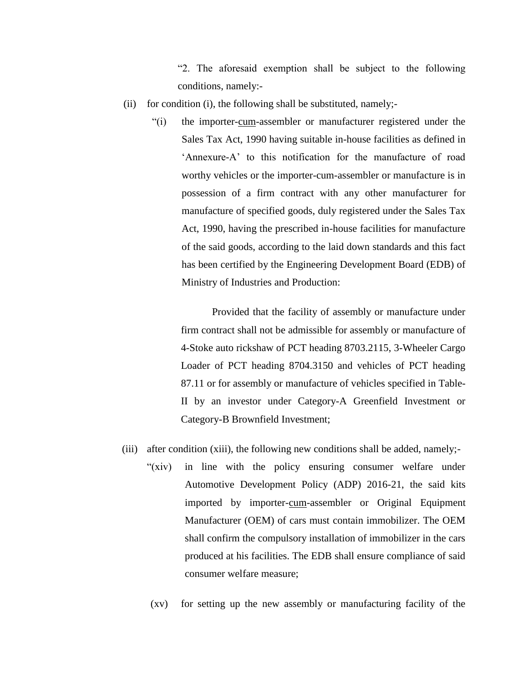"2. The aforesaid exemption shall be subject to the following conditions, namely:-

- (ii) for condition (i), the following shall be substituted, namely;-
	- "(i) the importer-cum-assembler or manufacturer registered under the Sales Tax Act, 1990 having suitable in-house facilities as defined in 'Annexure-A' to this notification for the manufacture of road worthy vehicles or the importer-cum-assembler or manufacture is in possession of a firm contract with any other manufacturer for manufacture of specified goods, duly registered under the Sales Tax Act, 1990, having the prescribed in-house facilities for manufacture of the said goods, according to the laid down standards and this fact has been certified by the Engineering Development Board (EDB) of Ministry of Industries and Production:

Provided that the facility of assembly or manufacture under firm contract shall not be admissible for assembly or manufacture of 4-Stoke auto rickshaw of PCT heading 8703.2115, 3-Wheeler Cargo Loader of PCT heading 8704.3150 and vehicles of PCT heading 87.11 or for assembly or manufacture of vehicles specified in Table-II by an investor under Category-A Greenfield Investment or Category-B Brownfield Investment;

- (iii) after condition (xiii), the following new conditions shall be added, namely;-
	- "(xiv) in line with the policy ensuring consumer welfare under Automotive Development Policy (ADP) 2016-21, the said kits imported by importer-cum-assembler or Original Equipment Manufacturer (OEM) of cars must contain immobilizer. The OEM shall confirm the compulsory installation of immobilizer in the cars produced at his facilities. The EDB shall ensure compliance of said consumer welfare measure;
	- (xv) for setting up the new assembly or manufacturing facility of the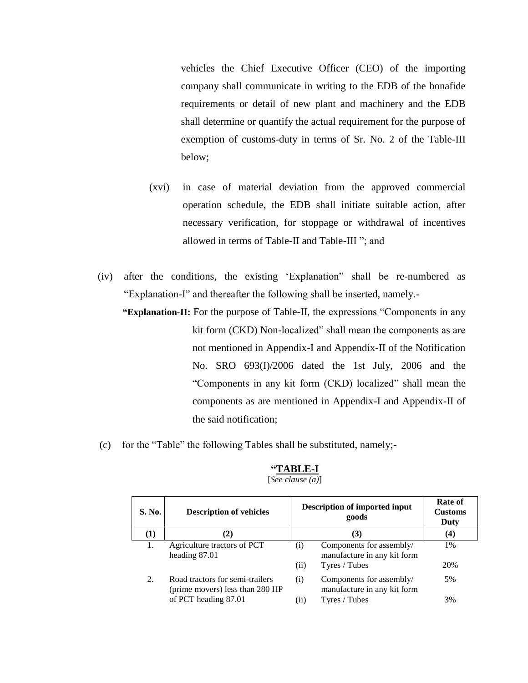vehicles the Chief Executive Officer (CEO) of the importing company shall communicate in writing to the EDB of the bonafide requirements or detail of new plant and machinery and the EDB shall determine or quantify the actual requirement for the purpose of exemption of customs-duty in terms of Sr. No. 2 of the Table-III below;

- (xvi) in case of material deviation from the approved commercial operation schedule, the EDB shall initiate suitable action, after necessary verification, for stoppage or withdrawal of incentives allowed in terms of Table-II and Table-III "; and
- (iv) after the conditions, the existing "Explanation" shall be re-numbered as "Explanation-I" and thereafter the following shall be inserted, namely.-

**"Explanation-II:** For the purpose of Table-II, the expressions "Components in any kit form (CKD) Non-localized" shall mean the components as are not mentioned in Appendix-I and Appendix-II of the Notification No. SRO 693(I)/2006 dated the 1st July, 2006 and the "Components in any kit form (CKD) localized" shall mean the components as are mentioned in Appendix-I and Appendix-II of the said notification;

(c) for the "Table" the following Tables shall be substituted, namely;-

| S. No.           | <b>Description of vehicles</b>                                                             |             | <b>Description of imported input</b><br>goods                            | Rate of<br><b>Customs</b><br>Duty |
|------------------|--------------------------------------------------------------------------------------------|-------------|--------------------------------------------------------------------------|-----------------------------------|
| $\left(1\right)$ | $\mathbf{2}$                                                                               |             | (3)                                                                      | (4)                               |
| 1.               | Agriculture tractors of PCT<br>heading 87.01                                               | (i)<br>(11) | Components for assembly/<br>manufacture in any kit form<br>Tyres / Tubes | 1%<br>20%                         |
| 2.               | Road tractors for semi-trailers<br>(prime movers) less than 280 HP<br>of PCT heading 87.01 | (i)<br>(11) | Components for assembly/<br>manufacture in any kit form<br>Tyres / Tubes | 5%<br>3%                          |

## **"TABLE-I** [*See clause (a)*]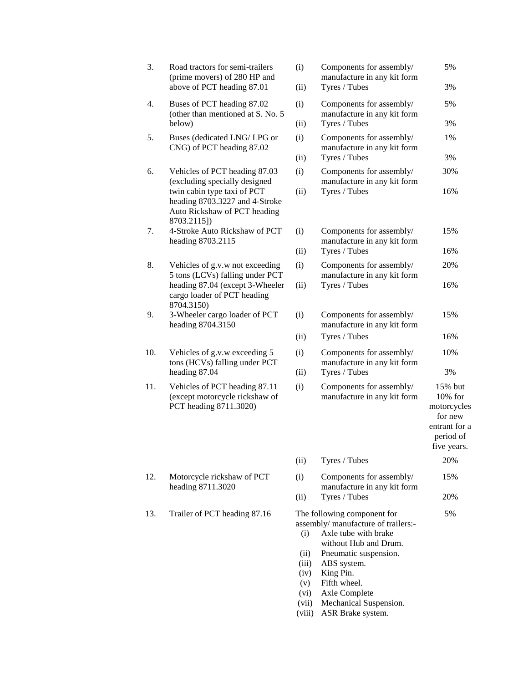| 3.  | Road tractors for semi-trailers<br>(prime movers) of 280 HP and<br>above of PCT heading 87.01                                                 | (i)<br>(ii)                                 | Components for assembly/<br>manufacture in any kit form<br>Tyres / Tubes                                                                                                                                  | 5%<br>3%                                                                                  |
|-----|-----------------------------------------------------------------------------------------------------------------------------------------------|---------------------------------------------|-----------------------------------------------------------------------------------------------------------------------------------------------------------------------------------------------------------|-------------------------------------------------------------------------------------------|
| 4.  | Buses of PCT heading 87.02                                                                                                                    | (i)                                         | Components for assembly/                                                                                                                                                                                  | 5%                                                                                        |
|     | (other than mentioned at S. No. 5)<br>below)                                                                                                  | (ii)                                        | manufacture in any kit form<br>Tyres / Tubes                                                                                                                                                              | 3%                                                                                        |
| 5.  | Buses (dedicated LNG/ LPG or                                                                                                                  | (i)                                         | Components for assembly/                                                                                                                                                                                  | 1%                                                                                        |
|     | CNG) of PCT heading 87.02                                                                                                                     | (ii)                                        | manufacture in any kit form<br>Tyres / Tubes                                                                                                                                                              | 3%                                                                                        |
| 6.  | Vehicles of PCT heading 87.03                                                                                                                 | (i)                                         | Components for assembly/                                                                                                                                                                                  | 30%                                                                                       |
|     | (excluding specially designed<br>twin cabin type taxi of PCT<br>heading 8703.3227 and 4-Stroke<br>Auto Rickshaw of PCT heading<br>8703.2115]) |                                             | manufacture in any kit form<br>Tyres / Tubes                                                                                                                                                              | 16%                                                                                       |
| 7.  | 4-Stroke Auto Rickshaw of PCT<br>heading 8703.2115                                                                                            | (i)                                         | Components for assembly/<br>manufacture in any kit form                                                                                                                                                   | 15%                                                                                       |
|     |                                                                                                                                               | (ii)                                        | Tyres / Tubes                                                                                                                                                                                             | 16%                                                                                       |
| 8.  | Vehicles of g.v.w not exceeding<br>5 tons (LCVs) falling under PCT                                                                            | (i)                                         | Components for assembly/<br>manufacture in any kit form                                                                                                                                                   | 20%                                                                                       |
|     | heading 87.04 (except 3-Wheeler<br>cargo loader of PCT heading<br>8704.3150)                                                                  | (ii)                                        | Tyres / Tubes                                                                                                                                                                                             | 16%                                                                                       |
| 9.  | 3-Wheeler cargo loader of PCT<br>heading 8704.3150                                                                                            | (i)                                         | Components for assembly/<br>manufacture in any kit form                                                                                                                                                   | 15%                                                                                       |
|     |                                                                                                                                               | (ii)                                        | Tyres / Tubes                                                                                                                                                                                             | 16%                                                                                       |
| 10. | Vehicles of g.v.w exceeding 5<br>tons (HCVs) falling under PCT                                                                                | (i)                                         | Components for assembly/<br>manufacture in any kit form                                                                                                                                                   | 10%                                                                                       |
|     | heading 87.04                                                                                                                                 | (ii)                                        | Tyres / Tubes                                                                                                                                                                                             | 3%                                                                                        |
| 11. | Vehicles of PCT heading 87.11<br>(except motorcycle rickshaw of<br>PCT heading 8711.3020)                                                     | (i)                                         | Components for assembly/<br>manufacture in any kit form                                                                                                                                                   | 15% but<br>10% for<br>motorcycles<br>for new<br>entrant for a<br>period of<br>five years. |
|     |                                                                                                                                               | (ii)                                        | Tyres / Tubes                                                                                                                                                                                             | 20%                                                                                       |
| 12. | Motorcycle rickshaw of PCT<br>heading 8711.3020                                                                                               | (i)                                         | Components for assembly/<br>manufacture in any kit form                                                                                                                                                   | 15%                                                                                       |
|     |                                                                                                                                               | (ii)                                        | Tyres / Tubes                                                                                                                                                                                             | 20%                                                                                       |
| 13. | Trailer of PCT heading 87.16                                                                                                                  | (i)<br>(ii)<br>(iii)<br>(iv)<br>(v)<br>(vi) | The following component for<br>assembly/ manufacture of trailers:-<br>Axle tube with brake<br>without Hub and Drum.<br>Pneumatic suspension.<br>ABS system.<br>King Pin.<br>Fifth wheel.<br>Axle Complete | 5%                                                                                        |
|     |                                                                                                                                               | (vii)                                       | Mechanical Suspension.                                                                                                                                                                                    |                                                                                           |

(viii) ASR Brake system.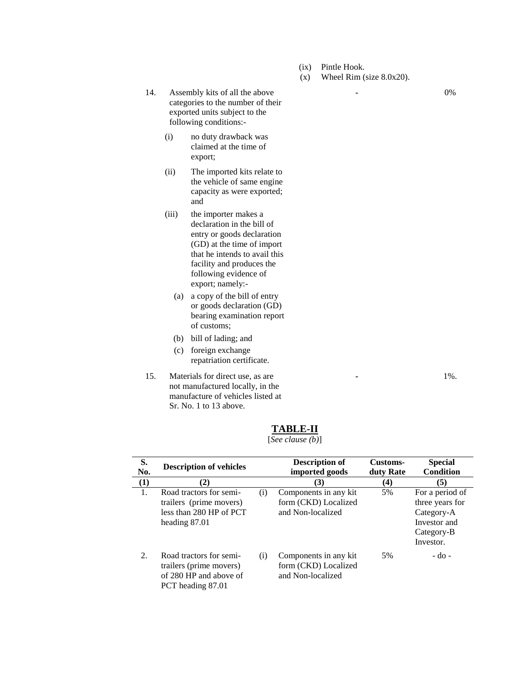- (ix) Pintle Hook.
- (x) Wheel Rim (size 8.0x20).

14. Assembly kits of all the above categories to the number of their exported units subject to the following conditions:-

- (i) no duty drawback was claimed at the time of export;
- (ii) The imported kits relate to the vehicle of same engine capacity as were exported; and

(iii) the importer makes a declaration in the bill of entry or goods declaration (GD) at the time of import that he intends to avail this facility and produces the following evidence of export; namely:-

- (a) a copy of the bill of entry or goods declaration (GD) bearing examination report of customs;
- (b) bill of lading; and
- (c) foreign exchange repatriation certificate.
- 15. Materials for direct use, as are not manufactured locally, in the manufacture of vehicles listed at Sr. No. 1 to 13 above.

**-** 1%.

|  | BL)<br>. . | Æ |  |
|--|------------|---|--|
|  |            |   |  |

[*See clause (b)*]

| S.<br>No. | <b>Description of vehicles</b>                                                                    |     | <b>Description of</b><br>imported goods                            | Customs-<br>duty Rate | <b>Special</b><br><b>Condition</b>                                                          |
|-----------|---------------------------------------------------------------------------------------------------|-----|--------------------------------------------------------------------|-----------------------|---------------------------------------------------------------------------------------------|
| $\bf(1)$  | (2)                                                                                               |     | (3)                                                                | (4)                   | (5)                                                                                         |
| 1.        | Road tractors for semi-<br>trailers (prime movers)<br>less than 280 HP of PCT<br>heading 87.01    | (i) | Components in any kit<br>form (CKD) Localized<br>and Non-localized | 5%                    | For a period of<br>three years for<br>Category-A<br>Investor and<br>Category-B<br>Investor. |
| 2.        | Road tractors for semi-<br>trailers (prime movers)<br>of 280 HP and above of<br>PCT heading 87.01 | (i) | Components in any kit<br>form (CKD) Localized<br>and Non-localized | 5%                    | $-do$ -                                                                                     |

**-** 0%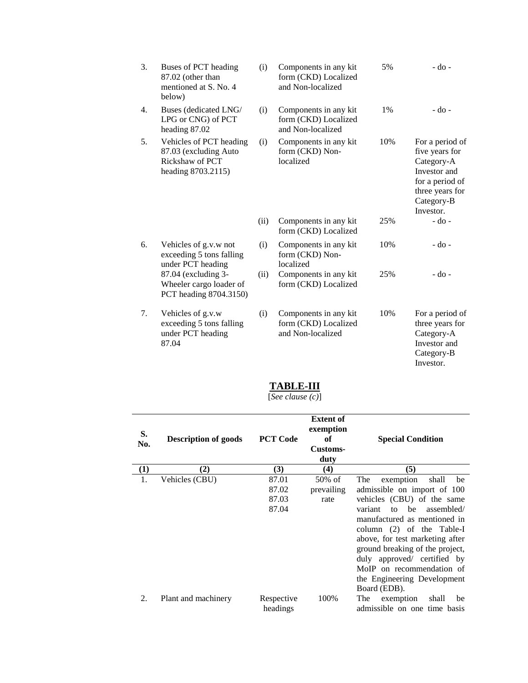| 3.               | Buses of PCT heading<br>87.02 (other than<br>mentioned at S. No. 4<br>below)              | (i)  | Components in any kit<br>form (CKD) Localized<br>and Non-localized | 5%  | $-do -$                                                                                                                          |
|------------------|-------------------------------------------------------------------------------------------|------|--------------------------------------------------------------------|-----|----------------------------------------------------------------------------------------------------------------------------------|
| $\overline{4}$ . | Buses (dedicated LNG/<br>LPG or CNG) of PCT<br>heading 87.02                              | (i)  | Components in any kit<br>form (CKD) Localized<br>and Non-localized | 1%  | $-do$ -                                                                                                                          |
| 5.               | Vehicles of PCT heading<br>87.03 (excluding Auto<br>Rickshaw of PCT<br>heading 8703.2115) | (i)  | Components in any kit<br>form (CKD) Non-<br>localized              | 10% | For a period of<br>five years for<br>Category-A<br>Investor and<br>for a period of<br>three years for<br>Category-B<br>Investor. |
|                  |                                                                                           | (ii) | Components in any kit<br>form (CKD) Localized                      | 25% | $-do-$                                                                                                                           |
| 6.               | Vehicles of g.v.w not<br>exceeding 5 tons falling<br>under PCT heading                    | (i)  | Components in any kit<br>form (CKD) Non-<br>localized              | 10% | $-do -$                                                                                                                          |
|                  | 87.04 (excluding 3-<br>Wheeler cargo loader of<br>PCT heading 8704.3150)                  | (ii) | Components in any kit<br>form (CKD) Localized                      | 25% | $-do-$                                                                                                                           |
| 7.               | Vehicles of g.v.w<br>exceeding 5 tons falling<br>under PCT heading<br>87.04               | (i)  | Components in any kit<br>form (CKD) Localized<br>and Non-localized | 10% | For a period of<br>three years for<br>Category-A<br>Investor and<br>Category-B<br>Investor.                                      |

## **TABLE-III**

[*See clause (c)*]

| S.<br>No.         | <b>Description of goods</b> | <b>PCT Code</b>                  | <b>Extent of</b><br>exemption<br>of<br>Customs-<br>duty | <b>Special Condition</b>                                                                                                                                                                                                                                                                                                                                                     |
|-------------------|-----------------------------|----------------------------------|---------------------------------------------------------|------------------------------------------------------------------------------------------------------------------------------------------------------------------------------------------------------------------------------------------------------------------------------------------------------------------------------------------------------------------------------|
| $\left( 1\right)$ | (2)                         | (3)                              | (4)                                                     | (5)                                                                                                                                                                                                                                                                                                                                                                          |
|                   | Vehicles (CBU)              | 87.01<br>87.02<br>87.03<br>87.04 | $50\%$ of<br>prevailing<br>rate                         | exemption<br>The<br>shall<br>be<br>admissible on import of 100<br>vehicles (CBU) of the same<br>to be<br>variant<br>assembled/<br>manufactured as mentioned in<br>column (2) of the Table-I<br>above, for test marketing after<br>ground breaking of the project,<br>duly approved/ certified by<br>MoIP on recommendation of<br>the Engineering Development<br>Board (EDB). |
| 2.                | Plant and machinery         | Respective<br>headings           | 100%                                                    | The<br>exemption<br>shall<br>be<br>admissible on one time basis                                                                                                                                                                                                                                                                                                              |